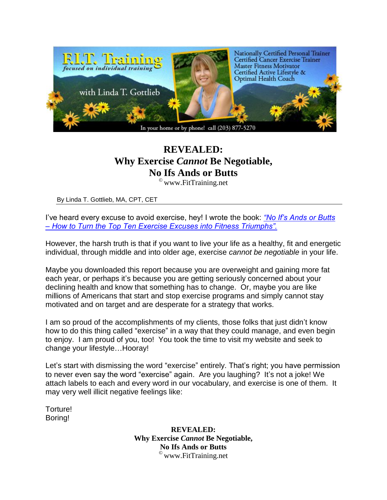

## **REVEALED: Why Exercise** *Cannot* **Be Negotiable, No Ifs Ands or Butts**

 $^{\circ}$  www. Fit Training. net

By Linda T. Gottlieb, MA, CPT, CET

I've heard every excuse to avoid exercise, hey! I wrote the book: *["No If's Ands or Butts](http://www.noifsandsorbutts.info/)  – [How to Turn the Top Ten Exercise Excuses into Fitness Triumphs".](http://www.noifsandsorbutts.info/)*

However, the harsh truth is that if you want to live your life as a healthy, fit and energetic individual, through middle and into older age, exercise *cannot be negotiable* in your life.

Maybe you downloaded this report because you are overweight and gaining more fat each year, or perhaps it's because you are getting seriously concerned about your declining health and know that something has to change. Or, maybe you are like millions of Americans that start and stop exercise programs and simply cannot stay motivated and on target and are desperate for a strategy that works.

I am so proud of the accomplishments of my clients, those folks that just didn't know how to do this thing called "exercise" in a way that they could manage, and even begin to enjoy. I am proud of you, too! You took the time to visit my website and seek to change your lifestyle…Hooray!

Let's start with dismissing the word "exercise" entirely. That's right; you have permission to never even say the word "exercise" again. Are you laughing? It's not a joke! We attach labels to each and every word in our vocabulary, and exercise is one of them. It may very well illicit negative feelings like:

Torture! Boring!

> **REVEALED: Why Exercise** *Cannot* **Be Negotiable, No Ifs Ands or Butts**  $^{\circ}$  www. Fit Training. net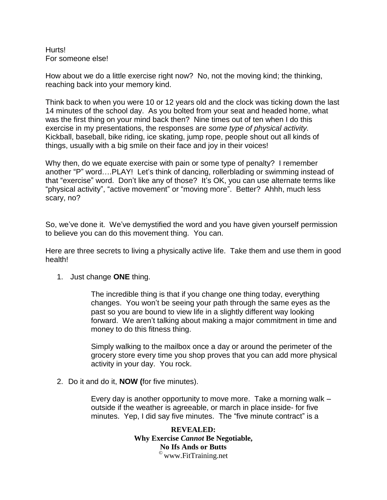Hurts! For someone else!

How about we do a little exercise right now? No, not the moving kind; the thinking, reaching back into your memory kind.

Think back to when you were 10 or 12 years old and the clock was ticking down the last 14 minutes of the school day. As you bolted from your seat and headed home, what was the first thing on your mind back then? Nine times out of ten when I do this exercise in my presentations, the responses are *some type of physical activity.* Kickball, baseball, bike riding, ice skating, jump rope, people shout out all kinds of things, usually with a big smile on their face and joy in their voices!

Why then, do we equate exercise with pain or some type of penalty? I remember another "P" word….PLAY! Let's think of dancing, rollerblading or swimming instead of that "exercise" word. Don't like any of those? It's OK, you can use alternate terms like "physical activity", "active movement" or "moving more". Better? Ahhh, much less scary, no?

So, we've done it. We've demystified the word and you have given yourself permission to believe you can do this movement thing. You can.

Here are three secrets to living a physically active life. Take them and use them in good health!

1. Just change **ONE** thing.

The incredible thing is that if you change one thing today, everything changes. You won't be seeing your path through the same eyes as the past so you are bound to view life in a slightly different way looking forward. We aren't talking about making a major commitment in time and money to do this fitness thing.

Simply walking to the mailbox once a day or around the perimeter of the grocery store every time you shop proves that you can add more physical activity in your day. You rock.

2. Do it and do it, **NOW (**for five minutes).

Every day is another opportunity to move more. Take a morning walk – outside if the weather is agreeable, or march in place inside- for five minutes. Yep, I did say five minutes. The "five minute contract" is a

> **REVEALED: Why Exercise** *Cannot* **Be Negotiable, No Ifs Ands or Butts**  $^{\circ}$  www. FitTraining.net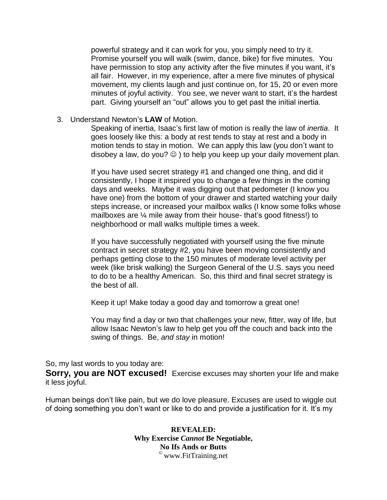powerful strategy and it can work for you, you simply need to try it. Promise yourself you will walk (swim, dance, bike) for five minutes. You have permission to stop any activity after the five minutes if you want, it's all fair. However, in my experience, after a mere five minutes of physical movement, my clients laugh and just continue on, for 15, 20 or even more minutes of joyful activity. You see, we never want to start, it's the hardest part. Giving yourself an "out" allows you to get past the initial inertia.

3. Understand Newton's **LAW** of Motion.

Speaking of inertia, Isaac's first law of motion is really the law of *inertia*. It goes loosely like this: a body at rest tends to stay at rest and a body in motion tends to stay in motion. We can apply this law (you don't want to disobey a law, do you?  $\odot$  ) to help you keep up your daily movement plan.

If you have used secret strategy #1 and changed one thing, and did it consistently, I hope it inspired you to change a few things in the coming days and weeks. Maybe it was digging out that pedometer (I know you have one) from the bottom of your drawer and started watching your daily steps increase, or increased your mailbox walks (I know some folks whose mailboxes are ¼ mile away from their house- that's good fitness!) to neighborhood or mall walks multiple times a week.

If you have successfully negotiated with yourself using the five minute contract in secret strategy #2, you have been moving consistently and perhaps getting close to the 150 minutes of moderate level activity per week (like brisk walking) the Surgeon General of the U.S. says you need to do to be a healthy American. So, this third and final secret strategy is the best of all.

Keep it up! Make today a good day and tomorrow a great one!

You may find a day or two that challenges your new, fitter, way of life, but allow Isaac Newton's law to help get you off the couch and back into the swing of things. Be, *and stay* in motion!

So, my last words to you today are:

**Sorry, you are NOT excused!** Exercise excuses may shorten your life and make it less joyful.

Human beings don't like pain, but we do love pleasure. Excuses are used to wiggle out of doing something you don't want or like to do and provide a justification for it. It's my

> **REVEALED: Why Exercise** *Cannot* **Be Negotiable, No Ifs Ands or Butts**  $^{\circ}$  www. Fit Training. net